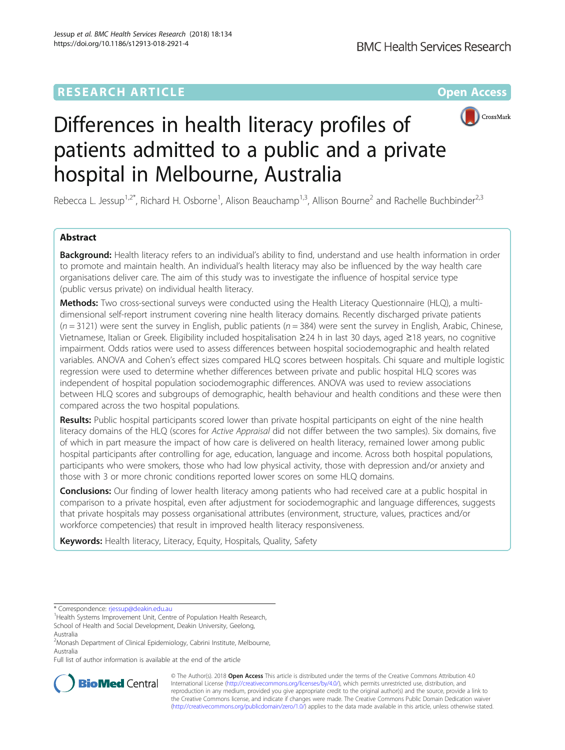## **RESEARCH ARTICLE Example 2014 The Community Community Community Community Community Community Community Community**



# Differences in health literacy profiles of patients admitted to a public and a private hospital in Melbourne, Australia

Rebecca L. Jessup<sup>1,2\*</sup>, Richard H. Osborne<sup>1</sup>, Alison Beauchamp<sup>1,3</sup>, Allison Bourne<sup>2</sup> and Rachelle Buchbinder<sup>2,3</sup>

## Abstract

Background: Health literacy refers to an individual's ability to find, understand and use health information in order to promote and maintain health. An individual's health literacy may also be influenced by the way health care organisations deliver care. The aim of this study was to investigate the influence of hospital service type (public versus private) on individual health literacy.

Methods: Two cross-sectional surveys were conducted using the Health Literacy Questionnaire (HLQ), a multidimensional self-report instrument covering nine health literacy domains. Recently discharged private patients  $(n=3121)$  were sent the survey in English, public patients  $(n=384)$  were sent the survey in English, Arabic, Chinese, Vietnamese, Italian or Greek. Eligibility included hospitalisation ≥24 h in last 30 days, aged ≥18 years, no cognitive impairment. Odds ratios were used to assess differences between hospital sociodemographic and health related variables. ANOVA and Cohen's effect sizes compared HLQ scores between hospitals. Chi square and multiple logistic regression were used to determine whether differences between private and public hospital HLQ scores was independent of hospital population sociodemographic differences. ANOVA was used to review associations between HLQ scores and subgroups of demographic, health behaviour and health conditions and these were then compared across the two hospital populations.

Results: Public hospital participants scored lower than private hospital participants on eight of the nine health literacy domains of the HLQ (scores for Active Appraisal did not differ between the two samples). Six domains, five of which in part measure the impact of how care is delivered on health literacy, remained lower among public hospital participants after controlling for age, education, language and income. Across both hospital populations, participants who were smokers, those who had low physical activity, those with depression and/or anxiety and those with 3 or more chronic conditions reported lower scores on some HLQ domains.

**Conclusions:** Our finding of lower health literacy among patients who had received care at a public hospital in comparison to a private hospital, even after adjustment for sociodemographic and language differences, suggests that private hospitals may possess organisational attributes (environment, structure, values, practices and/or workforce competencies) that result in improved health literacy responsiveness.

Keywords: Health literacy, Literacy, Equity, Hospitals, Quality, Safety

Full list of author information is available at the end of the article



© The Author(s). 2018 Open Access This article is distributed under the terms of the Creative Commons Attribution 4.0 International License (http://creativecommons.org/licenses/by/4.0/), which permits unrestricted use, distribution, and reproduction in any medium, provided you give appropriate credit to the original author(s) and the source, provide a link to the Creative Commons license, and indicate if changes were made. The Creative Commons Public Domain Dedication waiver (http://creativecommons.org/publicdomain/zero/1.0/) applies to the data made available in this article, unless otherwise stated.

<sup>\*</sup> Correspondence: rjessup@deakin.edu.au <sup>1</sup>

<sup>&</sup>lt;sup>1</sup> Health Systems Improvement Unit, Centre of Population Health Research,

School of Health and Social Development, Deakin University, Geelong, Australia

<sup>&</sup>lt;sup>2</sup>Monash Department of Clinical Epidemiology, Cabrini Institute, Melbourne, Australia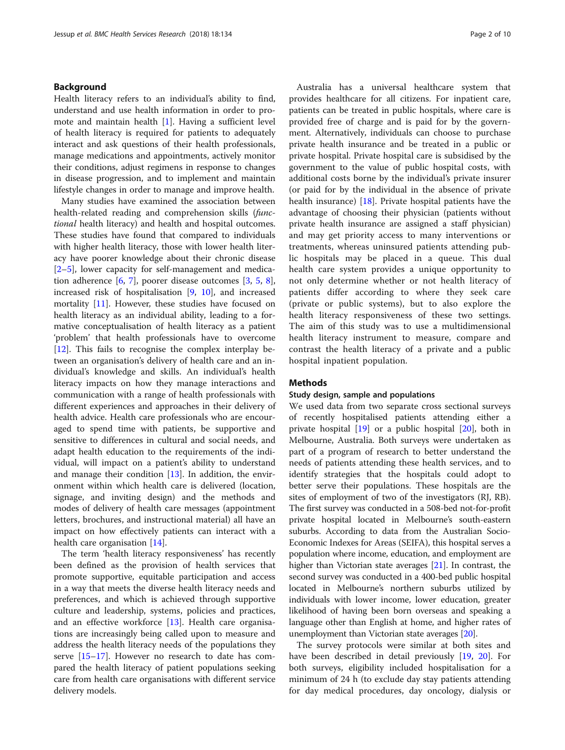## Background

Health literacy refers to an individual's ability to find, understand and use health information in order to promote and maintain health [1]. Having a sufficient level of health literacy is required for patients to adequately interact and ask questions of their health professionals, manage medications and appointments, actively monitor their conditions, adjust regimens in response to changes in disease progression, and to implement and maintain lifestyle changes in order to manage and improve health.

Many studies have examined the association between health-related reading and comprehension skills (functional health literacy) and health and hospital outcomes. These studies have found that compared to individuals with higher health literacy, those with lower health literacy have poorer knowledge about their chronic disease [2–5], lower capacity for self-management and medication adherence [6, 7], poorer disease outcomes [3, 5, 8], increased risk of hospitalisation [9, 10], and increased mortality [11]. However, these studies have focused on health literacy as an individual ability, leading to a formative conceptualisation of health literacy as a patient 'problem' that health professionals have to overcome [12]. This fails to recognise the complex interplay between an organisation's delivery of health care and an individual's knowledge and skills. An individual's health literacy impacts on how they manage interactions and communication with a range of health professionals with different experiences and approaches in their delivery of health advice. Health care professionals who are encouraged to spend time with patients, be supportive and sensitive to differences in cultural and social needs, and adapt health education to the requirements of the individual, will impact on a patient's ability to understand and manage their condition  $[13]$ . In addition, the environment within which health care is delivered (location, signage, and inviting design) and the methods and modes of delivery of health care messages (appointment letters, brochures, and instructional material) all have an impact on how effectively patients can interact with a health care organisation [14].

The term 'health literacy responsiveness' has recently been defined as the provision of health services that promote supportive, equitable participation and access in a way that meets the diverse health literacy needs and preferences, and which is achieved through supportive culture and leadership, systems, policies and practices, and an effective workforce [13]. Health care organisations are increasingly being called upon to measure and address the health literacy needs of the populations they serve [15–17]. However no research to date has compared the health literacy of patient populations seeking care from health care organisations with different service delivery models.

Australia has a universal healthcare system that provides healthcare for all citizens. For inpatient care, patients can be treated in public hospitals, where care is provided free of charge and is paid for by the government. Alternatively, individuals can choose to purchase private health insurance and be treated in a public or private hospital. Private hospital care is subsidised by the government to the value of public hospital costs, with additional costs borne by the individual's private insurer (or paid for by the individual in the absence of private health insurance) [18]. Private hospital patients have the advantage of choosing their physician (patients without private health insurance are assigned a staff physician) and may get priority access to many interventions or treatments, whereas uninsured patients attending public hospitals may be placed in a queue. This dual health care system provides a unique opportunity to not only determine whether or not health literacy of patients differ according to where they seek care (private or public systems), but to also explore the health literacy responsiveness of these two settings. The aim of this study was to use a multidimensional health literacy instrument to measure, compare and contrast the health literacy of a private and a public hospital inpatient population.

#### **Methods**

## Study design, sample and populations

We used data from two separate cross sectional surveys of recently hospitalised patients attending either a private hospital [19] or a public hospital [20], both in Melbourne, Australia. Both surveys were undertaken as part of a program of research to better understand the needs of patients attending these health services, and to identify strategies that the hospitals could adopt to better serve their populations. These hospitals are the sites of employment of two of the investigators (RJ, RB). The first survey was conducted in a 508-bed not-for-profit private hospital located in Melbourne's south-eastern suburbs. According to data from the Australian Socio-Economic Indexes for Areas (SEIFA), this hospital serves a population where income, education, and employment are higher than Victorian state averages [21]. In contrast, the second survey was conducted in a 400-bed public hospital located in Melbourne's northern suburbs utilized by individuals with lower income, lower education, greater likelihood of having been born overseas and speaking a language other than English at home, and higher rates of unemployment than Victorian state averages [20].

The survey protocols were similar at both sites and have been described in detail previously [19, 20]. For both surveys, eligibility included hospitalisation for a minimum of 24 h (to exclude day stay patients attending for day medical procedures, day oncology, dialysis or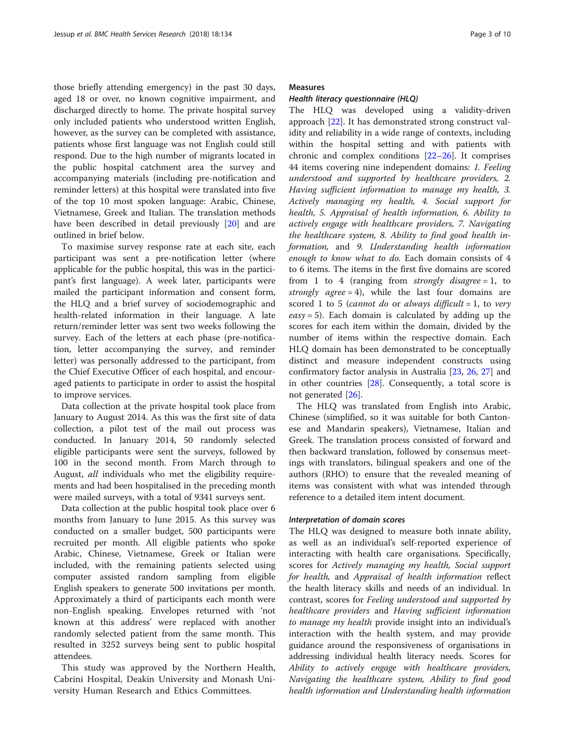those briefly attending emergency) in the past 30 days, aged 18 or over, no known cognitive impairment, and discharged directly to home. The private hospital survey only included patients who understood written English, however, as the survey can be completed with assistance, patients whose first language was not English could still respond. Due to the high number of migrants located in the public hospital catchment area the survey and accompanying materials (including pre-notification and reminder letters) at this hospital were translated into five of the top 10 most spoken language: Arabic, Chinese, Vietnamese, Greek and Italian. The translation methods have been described in detail previously [20] and are outlined in brief below.

To maximise survey response rate at each site, each participant was sent a pre-notification letter (where applicable for the public hospital, this was in the participant's first language). A week later, participants were mailed the participant information and consent form, the HLQ and a brief survey of sociodemographic and health-related information in their language. A late return/reminder letter was sent two weeks following the survey. Each of the letters at each phase (pre-notification, letter accompanying the survey, and reminder letter) was personally addressed to the participant, from the Chief Executive Officer of each hospital, and encouraged patients to participate in order to assist the hospital to improve services.

Data collection at the private hospital took place from January to August 2014. As this was the first site of data collection, a pilot test of the mail out process was conducted. In January 2014, 50 randomly selected eligible participants were sent the surveys, followed by 100 in the second month. From March through to August, all individuals who met the eligibility requirements and had been hospitalised in the preceding month were mailed surveys, with a total of 9341 surveys sent.

Data collection at the public hospital took place over 6 months from January to June 2015. As this survey was conducted on a smaller budget, 500 participants were recruited per month. All eligible patients who spoke Arabic, Chinese, Vietnamese, Greek or Italian were included, with the remaining patients selected using computer assisted random sampling from eligible English speakers to generate 500 invitations per month. Approximately a third of participants each month were non-English speaking. Envelopes returned with 'not known at this address' were replaced with another randomly selected patient from the same month. This resulted in 3252 surveys being sent to public hospital attendees.

This study was approved by the Northern Health, Cabrini Hospital, Deakin University and Monash University Human Research and Ethics Committees.

## Measures

#### Health literacy questionnaire (HLQ)

The HLQ was developed using a validity-driven approach [22]. It has demonstrated strong construct validity and reliability in a wide range of contexts, including within the hospital setting and with patients with chronic and complex conditions  $[22-26]$ . It comprises 44 items covering nine independent domains: 1. Feeling understood and supported by healthcare providers, 2. Having sufficient information to manage my health, 3. Actively managing my health, 4. Social support for health, 5. Appraisal of health information, 6. Ability to actively engage with healthcare providers, 7. Navigating the healthcare system, 8. Ability to find good health information, and 9. Understanding health information enough to know what to do. Each domain consists of 4 to 6 items. The items in the first five domains are scored from 1 to 4 (ranging from *strongly disagree* = 1, to strongly agree = 4), while the last four domains are scored 1 to 5 (cannot do or always difficult = 1, to very  $easy = 5$ ). Each domain is calculated by adding up the scores for each item within the domain, divided by the number of items within the respective domain. Each HLQ domain has been demonstrated to be conceptually distinct and measure independent constructs using confirmatory factor analysis in Australia [23, 26, 27] and in other countries [28]. Consequently, a total score is not generated [26].

The HLQ was translated from English into Arabic, Chinese (simplified, so it was suitable for both Cantonese and Mandarin speakers), Vietnamese, Italian and Greek. The translation process consisted of forward and then backward translation, followed by consensus meetings with translators, bilingual speakers and one of the authors (RHO) to ensure that the revealed meaning of items was consistent with what was intended through reference to a detailed item intent document.

#### Interpretation of domain scores

The HLQ was designed to measure both innate ability, as well as an individual's self-reported experience of interacting with health care organisations. Specifically, scores for Actively managing my health, Social support for health, and Appraisal of health information reflect the health literacy skills and needs of an individual. In contrast, scores for Feeling understood and supported by healthcare providers and Having sufficient information to manage my health provide insight into an individual's interaction with the health system, and may provide guidance around the responsiveness of organisations in addressing individual health literacy needs. Scores for Ability to actively engage with healthcare providers, Navigating the healthcare system, Ability to find good health information and Understanding health information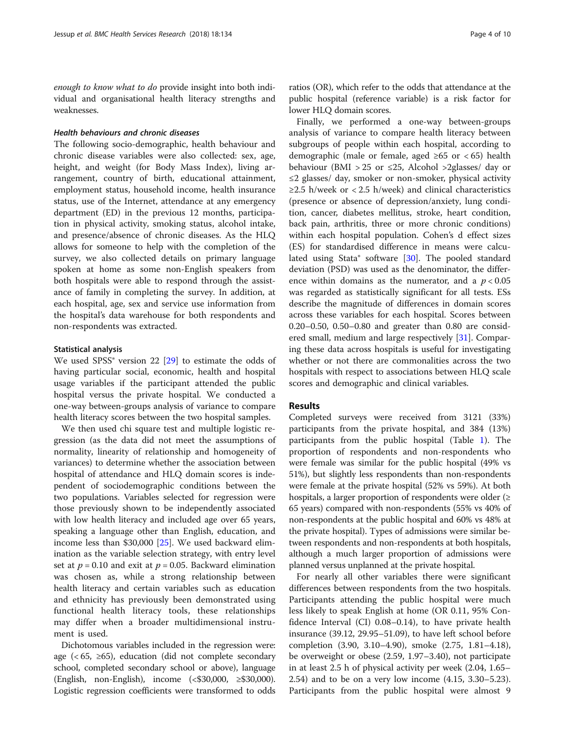enough to know what to do provide insight into both individual and organisational health literacy strengths and weaknesses.

## Health behaviours and chronic diseases

The following socio-demographic, health behaviour and chronic disease variables were also collected: sex, age, height, and weight (for Body Mass Index), living arrangement, country of birth, educational attainment, employment status, household income, health insurance status, use of the Internet, attendance at any emergency department (ED) in the previous 12 months, participation in physical activity, smoking status, alcohol intake, and presence/absence of chronic diseases. As the HLQ allows for someone to help with the completion of the survey, we also collected details on primary language spoken at home as some non-English speakers from both hospitals were able to respond through the assistance of family in completing the survey. In addition, at each hospital, age, sex and service use information from the hospital's data warehouse for both respondents and non-respondents was extracted.

#### Statistical analysis

We used SPSS<sup>®</sup> version 22  $[29]$  to estimate the odds of having particular social, economic, health and hospital usage variables if the participant attended the public hospital versus the private hospital. We conducted a one-way between-groups analysis of variance to compare health literacy scores between the two hospital samples.

We then used chi square test and multiple logistic regression (as the data did not meet the assumptions of normality, linearity of relationship and homogeneity of variances) to determine whether the association between hospital of attendance and HLQ domain scores is independent of sociodemographic conditions between the two populations. Variables selected for regression were those previously shown to be independently associated with low health literacy and included age over 65 years, speaking a language other than English, education, and income less than \$30,000 [25]. We used backward elimination as the variable selection strategy, with entry level set at  $p = 0.10$  and exit at  $p = 0.05$ . Backward elimination was chosen as, while a strong relationship between health literacy and certain variables such as education and ethnicity has previously been demonstrated using functional health literacy tools, these relationships may differ when a broader multidimensional instrument is used.

Dichotomous variables included in the regression were: age ( $< 65$ ,  $\geq 65$ ), education (did not complete secondary school, completed secondary school or above), language (English, non-English), income (<\$30,000, ≥\$30,000). Logistic regression coefficients were transformed to odds

ratios (OR), which refer to the odds that attendance at the public hospital (reference variable) is a risk factor for lower HLQ domain scores.

Finally, we performed a one-way between-groups analysis of variance to compare health literacy between subgroups of people within each hospital, according to demographic (male or female, aged  $\geq 65$  or  $\lt 65$ ) health behaviour (BMI > 25 or  $\leq$ 25, Alcohol >2glasses/ day or ≤2 glasses/ day, smoker or non-smoker, physical activity ≥2.5 h/week or < 2.5 h/week) and clinical characteristics (presence or absence of depression/anxiety, lung condition, cancer, diabetes mellitus, stroke, heart condition, back pain, arthritis, three or more chronic conditions) within each hospital population. Cohen's d effect sizes (ES) for standardised difference in means were calculated using Stata® software [30]. The pooled standard deviation (PSD) was used as the denominator, the difference within domains as the numerator, and a  $p < 0.05$ was regarded as statistically significant for all tests. ESs describe the magnitude of differences in domain scores across these variables for each hospital. Scores between 0.20–0.50, 0.50–0.80 and greater than 0.80 are considered small, medium and large respectively [31]. Comparing these data across hospitals is useful for investigating whether or not there are commonalities across the two hospitals with respect to associations between HLQ scale scores and demographic and clinical variables.

## **Results**

Completed surveys were received from 3121 (33%) participants from the private hospital, and 384 (13%) participants from the public hospital (Table 1). The proportion of respondents and non-respondents who were female was similar for the public hospital (49% vs 51%), but slightly less respondents than non-respondents were female at the private hospital (52% vs 59%). At both hospitals, a larger proportion of respondents were older  $(\geq$ 65 years) compared with non-respondents (55% vs 40% of non-respondents at the public hospital and 60% vs 48% at the private hospital). Types of admissions were similar between respondents and non-respondents at both hospitals, although a much larger proportion of admissions were planned versus unplanned at the private hospital.

For nearly all other variables there were significant differences between respondents from the two hospitals. Participants attending the public hospital were much less likely to speak English at home (OR 0.11, 95% Confidence Interval (CI) 0.08–0.14), to have private health insurance (39.12, 29.95–51.09), to have left school before completion (3.90, 3.10–4.90), smoke (2.75, 1.81–4.18), be overweight or obese (2.59, 1.97–3.40), not participate in at least 2.5 h of physical activity per week (2.04, 1.65– 2.54) and to be on a very low income (4.15, 3.30–5.23). Participants from the public hospital were almost 9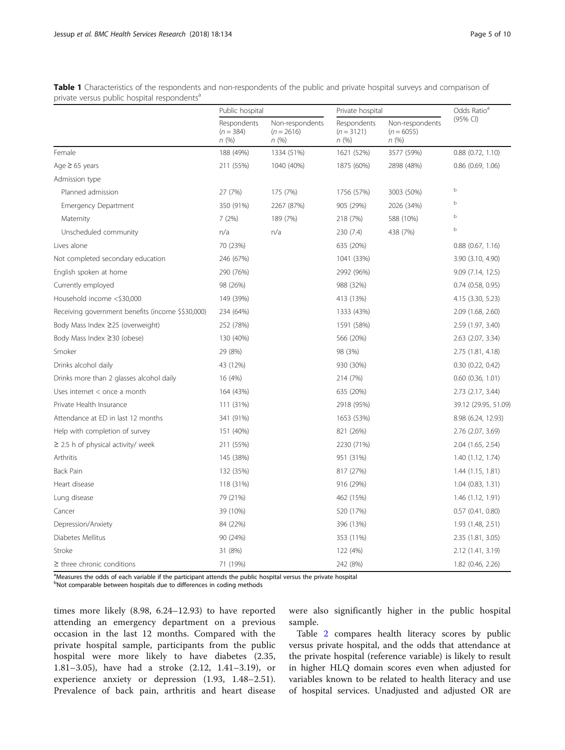| <b>Table 1</b> Characteristics of the respondents and non-respondents of the public and private hospital surveys and comparison of |  |  |  |  |
|------------------------------------------------------------------------------------------------------------------------------------|--|--|--|--|
| private versus public hospital respondents <sup>a</sup>                                                                            |  |  |  |  |

|                                                   | Public hospital                    |                                         | Private hospital                    | Odds Ratio <sup>a</sup>                 |                       |  |
|---------------------------------------------------|------------------------------------|-----------------------------------------|-------------------------------------|-----------------------------------------|-----------------------|--|
|                                                   | Respondents<br>$(n = 384)$<br>n(%) | Non-respondents<br>$(n = 2616)$<br>n(%) | Respondents<br>$(n = 3121)$<br>n(%) | Non-respondents<br>$(n = 6055)$<br>n(%) | (95% CI)              |  |
| Female                                            | 188 (49%)                          | 1334 (51%)                              | 1621 (52%)                          | 3577 (59%)                              | $0.88$ $(0.72, 1.10)$ |  |
| Age $\geq 65$ years                               | 211 (55%)                          | 1040 (40%)                              | 1875 (60%)                          | 2898 (48%)                              | $0.86$ $(0.69, 1.06)$ |  |
| Admission type                                    |                                    |                                         |                                     |                                         |                       |  |
| Planned admission                                 | 27 (7%)                            | 175 (7%)                                | 1756 (57%)                          | 3003 (50%)                              | $\mathsf b$           |  |
| <b>Emergency Department</b>                       | 350 (91%)                          | 2267 (87%)                              | 905 (29%)                           | 2026 (34%)                              | b                     |  |
| Maternity                                         | 7(2%)                              | 189 (7%)                                | 218 (7%)                            | 588 (10%)                               | $\mathbf b$           |  |
| Unscheduled community                             | n/a                                | n/a                                     | 230 (7.4)                           | 438 (7%)                                | b                     |  |
| Lives alone                                       | 70 (23%)                           |                                         | 635 (20%)                           |                                         | $0.88$ $(0.67, 1.16)$ |  |
| Not completed secondary education                 | 246 (67%)                          |                                         | 1041 (33%)                          |                                         | 3.90 (3.10, 4.90)     |  |
| English spoken at home                            | 290 (76%)                          |                                         | 2992 (96%)                          |                                         | 9.09 (7.14, 12.5)     |  |
| Currently employed                                | 98 (26%)                           |                                         | 988 (32%)                           |                                         |                       |  |
| Household income <\$30,000                        | 149 (39%)                          |                                         | 413 (13%)                           |                                         |                       |  |
| Receiving government benefits (income \$\$30,000) | 234 (64%)                          |                                         | 1333 (43%)                          |                                         | 2.09 (1.68, 2.60)     |  |
| Body Mass Index ≥25 (overweight)                  | 252 (78%)                          |                                         | 1591 (58%)                          |                                         | 2.59 (1.97, 3.40)     |  |
| Body Mass Index ≥30 (obese)                       | 130 (40%)                          |                                         | 566 (20%)                           |                                         | 2.63 (2.07, 3.34)     |  |
| Smoker                                            | 29 (8%)                            |                                         | 98 (3%)                             | 2.75 (1.81, 4.18)                       |                       |  |
| Drinks alcohol daily                              | 43 (12%)                           |                                         | 930 (30%)                           |                                         | 0.30(0.22, 0.42)      |  |
| Drinks more than 2 glasses alcohol daily          | 16 (4%)                            |                                         | 214 (7%)                            |                                         | $0.60$ $(0.36, 1.01)$ |  |
| Uses internet $\lt$ once a month                  | 164 (43%)                          |                                         | 635 (20%)                           | 2.73 (2.17, 3.44)                       |                       |  |
| Private Health Insurance                          | 111 (31%)                          |                                         | 2918 (95%)                          | 39.12 (29.95, 51.09)                    |                       |  |
| Attendance at ED in last 12 months                | 341 (91%)                          |                                         | 1653 (53%)                          | 8.98 (6.24, 12.93)                      |                       |  |
| Help with completion of survey                    | 151 (40%)                          |                                         | 821 (26%)                           |                                         | 2.76 (2.07, 3.69)     |  |
| $\geq$ 2.5 h of physical activity/ week           | 211 (55%)                          |                                         | 2230 (71%)                          |                                         | 2.04 (1.65, 2.54)     |  |
| Arthritis                                         | 145 (38%)                          |                                         | 951 (31%)                           |                                         | 1.40 (1.12, 1.74)     |  |
| <b>Back Pain</b>                                  | 132 (35%)                          |                                         | 817 (27%)                           |                                         | 1.44(1.15, 1.81)      |  |
| Heart disease                                     | 118 (31%)                          |                                         | 916 (29%)                           | 1.04(0.83, 1.31)                        |                       |  |
| Lung disease                                      | 79 (21%)                           |                                         | 462 (15%)                           |                                         | 1.46 (1.12, 1.91)     |  |
| Cancer                                            | 39 (10%)                           |                                         | 520 (17%)                           |                                         | $0.57$ $(0.41, 0.80)$ |  |
| Depression/Anxiety                                | 84 (22%)                           |                                         | 396 (13%)                           | 1.93 (1.48, 2.51)                       |                       |  |
| Diabetes Mellitus                                 | 90 (24%)                           |                                         | 353 (11%)                           | 2.35 (1.81, 3.05)                       |                       |  |
| Stroke                                            | 31 (8%)                            |                                         | 122 (4%)                            |                                         | 2.12 (1.41, 3.19)     |  |
| $\geq$ three chronic conditions                   | 71 (19%)                           |                                         | 242 (8%)                            |                                         | 1.82 (0.46, 2.26)     |  |

<sup>a</sup>Measures the odds of each variable if the participant attends the public hospital versus the private hospital

<sup>b</sup>Not comparable between hospitals due to differences in coding methods

times more likely (8.98, 6.24–12.93) to have reported attending an emergency department on a previous occasion in the last 12 months. Compared with the private hospital sample, participants from the public hospital were more likely to have diabetes (2.35, 1.81–3.05), have had a stroke (2.12, 1.41–3.19), or experience anxiety or depression (1.93, 1.48–2.51). Prevalence of back pain, arthritis and heart disease

were also significantly higher in the public hospital sample.

Table 2 compares health literacy scores by public versus private hospital, and the odds that attendance at the private hospital (reference variable) is likely to result in higher HLQ domain scores even when adjusted for variables known to be related to health literacy and use of hospital services. Unadjusted and adjusted OR are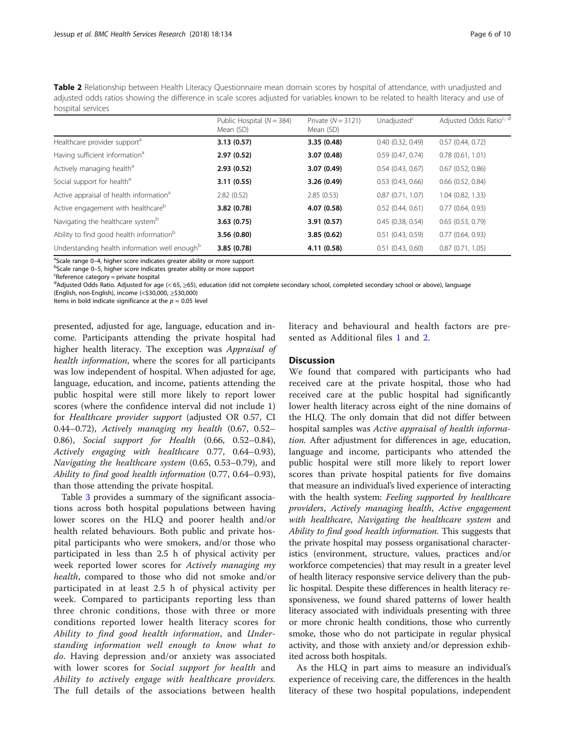Table 2 Relationship between Health Literacy Questionnaire mean domain scores by hospital of attendance, with unadjusted and adjusted odds ratios showing the difference in scale scores adjusted for variables known to be related to health literacy and use of hospital services

|                                                           | Public Hospital $(N = 384)$<br>Mean (SD) | Private $(N = 3121)$<br>Mean (SD) | Unadjusted <sup>c</sup> | Adjusted Odds Ratio <sup>c, d</sup> |
|-----------------------------------------------------------|------------------------------------------|-----------------------------------|-------------------------|-------------------------------------|
| Healthcare provider support <sup>a</sup>                  | 3.13(0.57)                               | 3.35(0.48)                        | 0.40(0.32, 0.49)        | 0.57(0.44, 0.72)                    |
| Having sufficient information <sup>a</sup>                | 2.97(0.52)                               | 3.07(0.48)                        | 0.59(0.47, 0.74)        | 0.78(0.61, 1.01)                    |
| Actively managing health <sup>a</sup>                     | 2.93(0.52)                               | 3.07(0.49)                        | 0.54(0.43, 0.67)        | $0.67$ $(0.52, 0.86)$               |
| Social support for health <sup>a</sup>                    | 3.11(0.55)                               | 3.26 (0.49)                       | 0.53(0.43, 0.66)        | $0.66$ $(0.52, 0.84)$               |
| Active appraisal of health information <sup>a</sup>       | 2.82(0.52)                               | 2.85(0.53)                        | 0.87(0.71, 1.07)        | 1.04(0.82, 1.33)                    |
| Active engagement with healthcare <sup>b</sup>            | 3.82(0.78)                               | 4.07 (0.58)                       | 0.52(0.44, 0.61)        | 0.77(0.64, 0.93)                    |
| Navigating the healthcare system <sup>b</sup>             | 3.63(0.75)                               | 3.91(0.57)                        | 0.45(0.38, 0.54)        | 0.65(0.53, 0.79)                    |
| Ability to find good health information <sup>b</sup>      | 3.56(0.80)                               | 3.85(0.62)                        | (0.43, 0.59)<br>0.51    | 0.77(0.64, 0.93)                    |
| Understanding health information well enough <sup>b</sup> | 3.85(0.78)                               | 4.11 (0.58)                       | 0.51(0.43, 0.60)        | 0.87(0.71, 1.05)                    |

<sup>a</sup>Scale range 0–4, higher score indicates greater ability or more support<br>bScale range 0.5, bigher score indicates greater ability or more support

<sup>b</sup>Scale range 0–5, higher score indicates greater ability or more support

Reference category = private hospital

<sup>d</sup>Adjusted Odds Ratio. Adjusted for age (< 65, ≥65), education (did not complete secondary school, completed secondary school or above), language

(English, non-English), income (<\$30,000, ≥\$30,000)

Items in bold indicate significance at the  $p = 0.05$  level

presented, adjusted for age, language, education and income. Participants attending the private hospital had higher health literacy. The exception was *Appraisal of* health information, where the scores for all participants was low independent of hospital. When adjusted for age, language, education, and income, patients attending the public hospital were still more likely to report lower scores (where the confidence interval did not include 1) for Healthcare provider support (adjusted OR 0.57, CI 0.44–0.72), Actively managing my health (0.67, 0.52– 0.86), Social support for Health (0.66, 0.52–0.84), Actively engaging with healthcare 0.77, 0.64–0.93), Navigating the healthcare system (0.65, 0.53–0.79), and Ability to find good health information (0.77, 0.64–0.93), than those attending the private hospital.

Table 3 provides a summary of the significant associations across both hospital populations between having lower scores on the HLQ and poorer health and/or health related behaviours. Both public and private hospital participants who were smokers, and/or those who participated in less than 2.5 h of physical activity per week reported lower scores for Actively managing my health, compared to those who did not smoke and/or participated in at least 2.5 h of physical activity per week. Compared to participants reporting less than three chronic conditions, those with three or more conditions reported lower health literacy scores for Ability to find good health information, and Understanding information well enough to know what to do. Having depression and/or anxiety was associated with lower scores for Social support for health and Ability to actively engage with healthcare providers. The full details of the associations between health literacy and behavioural and health factors are presented as Additional files 1 and 2.

#### **Discussion**

We found that compared with participants who had received care at the private hospital, those who had received care at the public hospital had significantly lower health literacy across eight of the nine domains of the HLQ. The only domain that did not differ between hospital samples was Active appraisal of health information. After adjustment for differences in age, education, language and income, participants who attended the public hospital were still more likely to report lower scores than private hospital patients for five domains that measure an individual's lived experience of interacting with the health system: Feeling supported by healthcare providers, Actively managing health, Active engagement with healthcare, Navigating the healthcare system and Ability to find good health information. This suggests that the private hospital may possess organisational characteristics (environment, structure, values, practices and/or workforce competencies) that may result in a greater level of health literacy responsive service delivery than the public hospital. Despite these differences in health literacy responsiveness, we found shared patterns of lower health literacy associated with individuals presenting with three or more chronic health conditions, those who currently smoke, those who do not participate in regular physical activity, and those with anxiety and/or depression exhibited across both hospitals.

As the HLQ in part aims to measure an individual's experience of receiving care, the differences in the health literacy of these two hospital populations, independent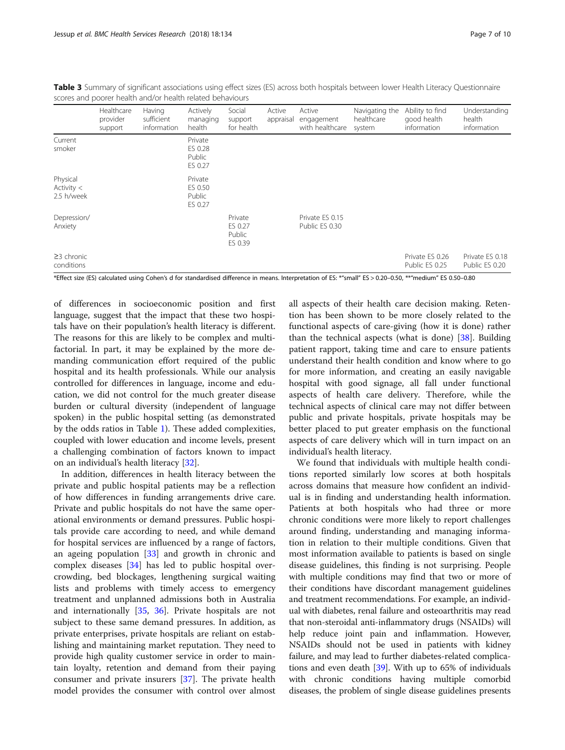|                                        | Healthcare<br>provider<br>support | Having<br>sufficient<br>information | Actively<br>managing<br>health          | Social<br>support<br>for health         | Active<br>appraisal | Active<br>engagement<br>with healthcare | Navigating the<br>healthcare<br>system | Ability to find<br>good health<br>information | Understanding<br>health<br>information |
|----------------------------------------|-----------------------------------|-------------------------------------|-----------------------------------------|-----------------------------------------|---------------------|-----------------------------------------|----------------------------------------|-----------------------------------------------|----------------------------------------|
| Current<br>smoker                      |                                   |                                     | Private<br>ES 0.28<br>Public<br>ES 0.27 |                                         |                     |                                         |                                        |                                               |                                        |
| Physical<br>Activity $<$<br>2.5 h/week |                                   |                                     | Private<br>ES 0.50<br>Public<br>ES 0.27 |                                         |                     |                                         |                                        |                                               |                                        |
| Depression/<br>Anxiety                 |                                   |                                     |                                         | Private<br>ES 0.27<br>Public<br>ES 0.39 |                     | Private ES 0.15<br>Public ES 0.30       |                                        |                                               |                                        |
| $\geq$ 3 chronic<br>conditions         |                                   |                                     |                                         |                                         |                     |                                         |                                        | Private ES 0.26<br>Public ES 0.25             | Private ES 0.18<br>Public ES 0.20      |

Table 3 Summary of significant associations using effect sizes (ES) across both hospitals between lower Health Literacy Questionnaire scores and poorer health and/or health related behaviours

\*Effect size (ES) calculated using Cohen's d for standardised difference in means. Interpretation of ES: \*"small" ES > 0.20–0.50, \*\*"medium" ES 0.50–0.80

of differences in socioeconomic position and first language, suggest that the impact that these two hospitals have on their population's health literacy is different. The reasons for this are likely to be complex and multifactorial. In part, it may be explained by the more demanding communication effort required of the public hospital and its health professionals. While our analysis controlled for differences in language, income and education, we did not control for the much greater disease burden or cultural diversity (independent of language spoken) in the public hospital setting (as demonstrated by the odds ratios in Table 1). These added complexities, coupled with lower education and income levels, present a challenging combination of factors known to impact on an individual's health literacy [32].

In addition, differences in health literacy between the private and public hospital patients may be a reflection of how differences in funding arrangements drive care. Private and public hospitals do not have the same operational environments or demand pressures. Public hospitals provide care according to need, and while demand for hospital services are influenced by a range of factors, an ageing population [33] and growth in chronic and complex diseases [34] has led to public hospital overcrowding, bed blockages, lengthening surgical waiting lists and problems with timely access to emergency treatment and unplanned admissions both in Australia and internationally [35, 36]. Private hospitals are not subject to these same demand pressures. In addition, as private enterprises, private hospitals are reliant on establishing and maintaining market reputation. They need to provide high quality customer service in order to maintain loyalty, retention and demand from their paying consumer and private insurers [37]. The private health model provides the consumer with control over almost

all aspects of their health care decision making. Retention has been shown to be more closely related to the functional aspects of care-giving (how it is done) rather than the technical aspects (what is done) [38]. Building patient rapport, taking time and care to ensure patients understand their health condition and know where to go for more information, and creating an easily navigable hospital with good signage, all fall under functional aspects of health care delivery. Therefore, while the technical aspects of clinical care may not differ between public and private hospitals, private hospitals may be better placed to put greater emphasis on the functional aspects of care delivery which will in turn impact on an individual's health literacy.

We found that individuals with multiple health conditions reported similarly low scores at both hospitals across domains that measure how confident an individual is in finding and understanding health information. Patients at both hospitals who had three or more chronic conditions were more likely to report challenges around finding, understanding and managing information in relation to their multiple conditions. Given that most information available to patients is based on single disease guidelines, this finding is not surprising. People with multiple conditions may find that two or more of their conditions have discordant management guidelines and treatment recommendations. For example, an individual with diabetes, renal failure and osteoarthritis may read that non-steroidal anti-inflammatory drugs (NSAIDs) will help reduce joint pain and inflammation. However, NSAIDs should not be used in patients with kidney failure, and may lead to further diabetes-related complications and even death [39]. With up to 65% of individuals with chronic conditions having multiple comorbid diseases, the problem of single disease guidelines presents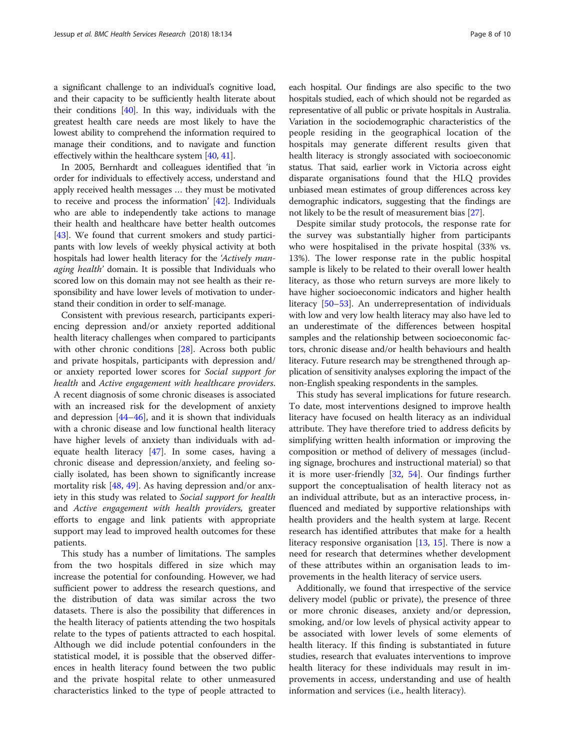a significant challenge to an individual's cognitive load, and their capacity to be sufficiently health literate about their conditions [40]. In this way, individuals with the greatest health care needs are most likely to have the lowest ability to comprehend the information required to manage their conditions, and to navigate and function effectively within the healthcare system [40, 41].

In 2005, Bernhardt and colleagues identified that 'in order for individuals to effectively access, understand and apply received health messages … they must be motivated to receive and process the information' [42]. Individuals who are able to independently take actions to manage their health and healthcare have better health outcomes [43]. We found that current smokers and study participants with low levels of weekly physical activity at both hospitals had lower health literacy for the 'Actively managing health' domain. It is possible that Individuals who scored low on this domain may not see health as their responsibility and have lower levels of motivation to understand their condition in order to self-manage.

Consistent with previous research, participants experiencing depression and/or anxiety reported additional health literacy challenges when compared to participants with other chronic conditions [28]. Across both public and private hospitals, participants with depression and/ or anxiety reported lower scores for Social support for health and Active engagement with healthcare providers. A recent diagnosis of some chronic diseases is associated with an increased risk for the development of anxiety and depression  $[44–46]$ , and it is shown that individuals with a chronic disease and low functional health literacy have higher levels of anxiety than individuals with adequate health literacy [47]. In some cases, having a chronic disease and depression/anxiety, and feeling socially isolated, has been shown to significantly increase mortality risk [48, 49]. As having depression and/or anxiety in this study was related to Social support for health and Active engagement with health providers, greater efforts to engage and link patients with appropriate support may lead to improved health outcomes for these patients.

This study has a number of limitations. The samples from the two hospitals differed in size which may increase the potential for confounding. However, we had sufficient power to address the research questions, and the distribution of data was similar across the two datasets. There is also the possibility that differences in the health literacy of patients attending the two hospitals relate to the types of patients attracted to each hospital. Although we did include potential confounders in the statistical model, it is possible that the observed differences in health literacy found between the two public and the private hospital relate to other unmeasured characteristics linked to the type of people attracted to

each hospital. Our findings are also specific to the two hospitals studied, each of which should not be regarded as representative of all public or private hospitals in Australia. Variation in the sociodemographic characteristics of the people residing in the geographical location of the hospitals may generate different results given that health literacy is strongly associated with socioeconomic status. That said, earlier work in Victoria across eight disparate organisations found that the HLQ provides unbiased mean estimates of group differences across key demographic indicators, suggesting that the findings are not likely to be the result of measurement bias [27].

Despite similar study protocols, the response rate for the survey was substantially higher from participants who were hospitalised in the private hospital (33% vs. 13%). The lower response rate in the public hospital sample is likely to be related to their overall lower health literacy, as those who return surveys are more likely to have higher socioeconomic indicators and higher health literacy [50–53]. An underrepresentation of individuals with low and very low health literacy may also have led to an underestimate of the differences between hospital samples and the relationship between socioeconomic factors, chronic disease and/or health behaviours and health literacy. Future research may be strengthened through application of sensitivity analyses exploring the impact of the non-English speaking respondents in the samples.

This study has several implications for future research. To date, most interventions designed to improve health literacy have focused on health literacy as an individual attribute. They have therefore tried to address deficits by simplifying written health information or improving the composition or method of delivery of messages (including signage, brochures and instructional material) so that it is more user-friendly [32, 54]. Our findings further support the conceptualisation of health literacy not as an individual attribute, but as an interactive process, influenced and mediated by supportive relationships with health providers and the health system at large. Recent research has identified attributes that make for a health literacy responsive organisation [13, 15]. There is now a need for research that determines whether development of these attributes within an organisation leads to improvements in the health literacy of service users.

Additionally, we found that irrespective of the service delivery model (public or private), the presence of three or more chronic diseases, anxiety and/or depression, smoking, and/or low levels of physical activity appear to be associated with lower levels of some elements of health literacy. If this finding is substantiated in future studies, research that evaluates interventions to improve health literacy for these individuals may result in improvements in access, understanding and use of health information and services (i.e., health literacy).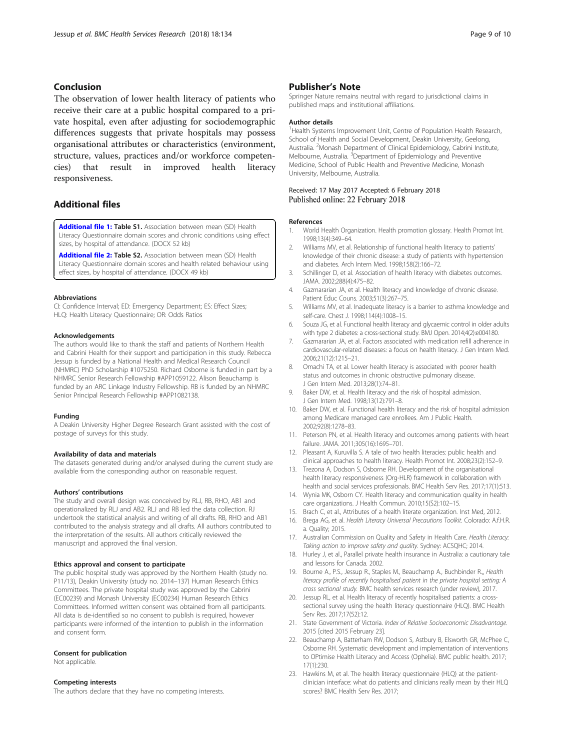## Conclusion

The observation of lower health literacy of patients who receive their care at a public hospital compared to a private hospital, even after adjusting for sociodemographic differences suggests that private hospitals may possess organisational attributes or characteristics (environment, structure, values, practices and/or workforce competencies) that result in improved health literacy responsiveness.

## Additional files

Additional file 1: Table S1. Association between mean (SD) Health Literacy Questionnaire domain scores and chronic conditions using effect sizes, by hospital of attendance. (DOCX 52 kb)

Additional file 2: Table S2. Association between mean (SD) Health Literacy Questionnaire domain scores and health related behaviour using effect sizes, by hospital of attendance. (DOCX 49 kb)

#### Abbreviations

CI: Confidence Interval; ED: Emergency Department; ES: Effect Sizes; HLQ: Health Literacy Questionnaire; OR: Odds Ratios

#### Acknowledgements

The authors would like to thank the staff and patients of Northern Health and Cabrini Health for their support and participation in this study. Rebecca Jessup is funded by a National Health and Medical Research Council (NHMRC) PhD Scholarship #1075250. Richard Osborne is funded in part by a NHMRC Senior Research Fellowship #APP1059122. Alison Beauchamp is funded by an ARC Linkage Industry Fellowship. RB is funded by an NHMRC Senior Principal Research Fellowship #APP1082138.

#### Funding

A Deakin University Higher Degree Research Grant assisted with the cost of postage of surveys for this study.

#### Availability of data and materials

The datasets generated during and/or analysed during the current study are available from the corresponding author on reasonable request.

#### Authors' contributions

The study and overall design was conceived by RLJ, RB, RHO, AB1 and operationalized by RLJ and AB2. RLJ and RB led the data collection. RJ undertook the statistical analysis and writing of all drafts. RB, RHO and AB1 contributed to the analysis strategy and all drafts. All authors contributed to the interpretation of the results. All authors critically reviewed the manuscript and approved the final version.

#### Ethics approval and consent to participate

The public hospital study was approved by the Northern Health (study no. P11/13), Deakin University (study no. 2014–137) Human Research Ethics Committees. The private hospital study was approved by the Cabrini (EC00239) and Monash University (EC00234) Human Research Ethics Committees. Informed written consent was obtained from all participants. All data is de-identified so no consent to publish is required, however participants were informed of the intention to publish in the information and consent form.

#### Consent for publication

Not applicable.

## Competing interests

The authors declare that they have no competing interests.

## Publisher's Note

Springer Nature remains neutral with regard to jurisdictional claims in published maps and institutional affiliations.

#### Author details

<sup>1</sup> Health Systems Improvement Unit, Centre of Population Health Research School of Health and Social Development, Deakin University, Geelong, Australia. <sup>2</sup>Monash Department of Clinical Epidemiology, Cabrini Institute Melbourne, Australia. <sup>3</sup>Department of Epidemiology and Preventive Medicine, School of Public Health and Preventive Medicine, Monash University, Melbourne, Australia.

#### Received: 17 May 2017 Accepted: 6 February 2018 Published online: 22 February 2018

#### References

- 1. World Health Organization. Health promotion glossary. Health Promot Int. 1998;13(4):349–64.
- 2. Williams MV, et al. Relationship of functional health literacy to patients' knowledge of their chronic disease: a study of patients with hypertension and diabetes. Arch Intern Med. 1998;158(2):166–72.
- 3. Schillinger D, et al. Association of health literacy with diabetes outcomes. JAMA. 2002;288(4):475–82.
- 4. Gazmararian JA, et al. Health literacy and knowledge of chronic disease. Patient Educ Couns. 2003;51(3):267–75.
- 5. Williams MV, et al. Inadequate literacy is a barrier to asthma knowledge and self-care. Chest J. 1998;114(4):1008–15.
- 6. Souza JG, et al. Functional health literacy and glycaemic control in older adults with type 2 diabetes: a cross-sectional study. BMJ Open. 2014;4(2):e004180.
- 7. Gazmararian JA, et al. Factors associated with medication refill adherence in cardiovascular-related diseases: a focus on health literacy. J Gen Intern Med. 2006;21(12):1215–21.
- 8. Omachi TA, et al. Lower health literacy is associated with poorer health status and outcomes in chronic obstructive pulmonary disease. J Gen Intern Med. 2013;28(1):74–81.
- 9. Baker DW, et al. Health literacy and the risk of hospital admission. J Gen Intern Med. 1998;13(12):791–8.
- 10. Baker DW, et al. Functional health literacy and the risk of hospital admission among Medicare managed care enrollees. Am J Public Health. 2002;92(8):1278–83.
- 11. Peterson PN, et al. Health literacy and outcomes among patients with heart failure. JAMA. 2011;305(16):1695–701.
- 12. Pleasant A, Kuruvilla S. A tale of two health literacies: public health and clinical approaches to health literacy. Health Promot Int. 2008;23(2):152–9.
- 13. Trezona A, Dodson S, Osborne RH. Development of the organisational health literacy responsiveness (Org-HLR) framework in collaboration with health and social services professionals. BMC Health Serv Res. 2017;17(1):513.
- 14. Wynia MK, Osborn CY. Health literacy and communication quality in health care organizations. J Health Commun. 2010;15(S2):102–15.
- 15. Brach C, et al., Attributes of a health literate organization. Inst Med, 2012.
- 16. Brega AG, et al. Health Literacy Universal Precautions Toolkit. Colorado: A.f.H.R. a. Quality; 2015.
- 17. Australian Commission on Quality and Safety in Health Care. Health Literacy: Taking action to improve safety and quality. Sydney: ACSQHC; 2014.
- 18. Hurley J, et al., Parallel private health insurance in Australia: a cautionary tale and lessons for Canada. 2002.
- 19. Bourne A., P.S., Jessup R., Staples M., Beauchamp A., Buchbinder R.,, Health literacy profile of recently hospitalised patient in the private hospital setting: A cross sectional study. BMC health services research (under review), 2017.
- 20. Jessup RL, et al. Health literacy of recently hospitalised patients: a crosssectional survey using the health literacy questionnaire (HLQ). BMC Health Serv Res. 2017;17(52):12.
- 21. State Government of Victoria. Index of Relative Socioeconomic Disadvantage. 2015 [cited 2015 February 23].
- 22. Beauchamp A, Batterham RW, Dodson S, Astbury B, Elsworth GR, McPhee C, Osborne RH. Systematic development and implementation of interventions to OPtimise Health Literacy and Access (Ophelia). BMC public health. 2017; 17(1):230.
- 23. Hawkins M, et al. The health literacy questionnaire (HLQ) at the patientclinician interface: what do patients and clinicians really mean by their HLQ scores? BMC Health Serv Res. 2017;